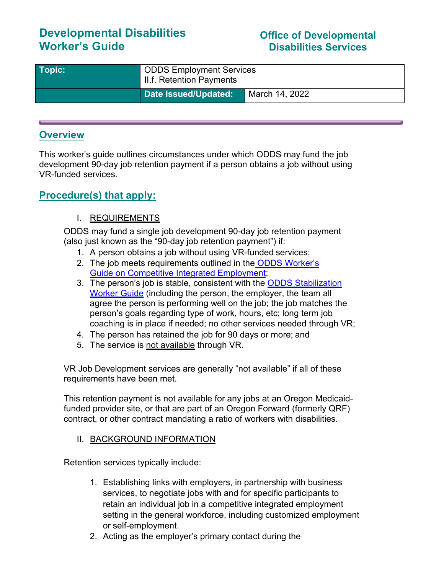# **Developmental Disabilities Worker's Guide**

### **Office of Developmental Disabilities Services**

| Topic: | <sup>1</sup> ODDS Employment Services<br>I II.f. Retention Payments |                |
|--------|---------------------------------------------------------------------|----------------|
|        | Date Issued/Updated:                                                | March 14, 2022 |

### **Overview**

This worker's guide outlines circumstances under which ODDS may fund the job development 90-day job retention payment if a person obtains a job without using VR-funded services.

### **Procedure(s) that apply:**

#### I. REQUIREMENTS

ODDS may fund a single job development 90-day job retention payment (also just known as the "90-day job retention payment") if:

- 1. A person obtains a job without using VR-funded services;
- 2. The job meets requirements outlined in the ODDS Worker's [Guide on](https://www.oregon.gov/DHS/SENIORS-DISABILITIES/DD/Documents/Worker-Guide-Competitive-Integrated-Employment-Requirements.pdf) [Competitive Integrated](https://www.oregon.gov/DHS/SENIORS-DISABILITIES/DD/Documents/Worker-Guide-Competitive-Integrated-Employment-Requirements.pdf) Employment;
- 3. The person's job is stable, consistent with the ODDS Stabilization [Worker](https://www.oregon.gov/DHS/SENIORS-DISABILITIES/DD/Documents/Worker-Guide-Employment-Stabilization.pdf) [Guide](https://www.oregon.gov/DHS/SENIORS-DISABILITIES/DD/Documents/Worker-Guide-Employment-Stabilization.pdf) (including the person, the employer, the team all agree the person is performing well on the job; the job matches the person's goals regarding type of work, hours, etc; long term job coaching is in place if needed; no other services needed through VR;
- 4. The person has retained the job for 90 days or more; and
- 5. The service is not available through VR.

VR Job Development services are generally "not available" if all of these requirements have been met.

This retention payment is not available for any jobs at an Oregon Medicaidfunded provider site, or that are part of an Oregon Forward (formerly QRF) contract, or other contract mandating a ratio of workers with disabilities.

#### II. BACKGROUND INFORMATION

Retention services typically include:

- 1. Establishing links with employers, in partnership with business services, to negotiate jobs with and for specific participants to retain an individual job in a competitive integrated employment setting in the general workforce, including customized employment or self-employment.
- 2. Acting as the employer's primary contact during the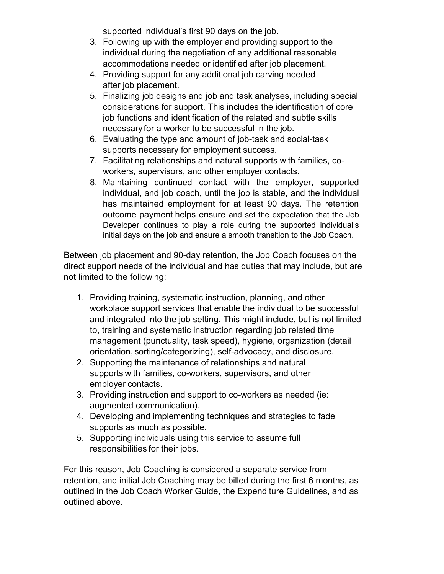supported individual's first 90 days on the job.

- 3. Following up with the employer and providing support to the individual during the negotiation of any additional reasonable accommodations needed or identified after job placement.
- 4. Providing support for any additional job carving needed after job placement.
- 5. Finalizing job designs and job and task analyses, including special considerations for support. This includes the identification of core job functions and identification of the related and subtle skills necessary for a worker to be successful in the job.
- 6. Evaluating the type and amount of job-task and social-task supports necessary for employment success.
- 7. Facilitating relationships and natural supports with families, coworkers, supervisors, and other employer contacts.
- 8. Maintaining continued contact with the employer, supported individual, and job coach, until the job is stable, and the individual has maintained employment for at least 90 days. The retention outcome payment helps ensure and set the expectation that the Job Developer continues to play a role during the supported individual's initial days on the job and ensure a smooth transition to the Job Coach.

Between job placement and 90-day retention, the Job Coach focuses on the direct support needs of the individual and has duties that may include, but are not limited to the following:

- 1. Providing training, systematic instruction, planning, and other workplace support services that enable the individual to be successful and integrated into the job setting. This might include, but is not limited to, training and systematic instruction regarding job related time management (punctuality, task speed), hygiene, organization (detail orientation, sorting/categorizing), self-advocacy, and disclosure.
- 2. Supporting the maintenance of relationships and natural supports with families, co-workers, supervisors, and other employer contacts.
- 3. Providing instruction and support to co-workers as needed (ie: augmented communication).
- 4. Developing and implementing techniques and strategies to fade supports as much as possible.
- 5. Supporting individuals using this service to assume full responsibilities for their jobs.

For this reason, Job Coaching is considered a separate service from retention, and initial Job Coaching may be billed during the first 6 months, as outlined in the Job Coach Worker Guide, the Expenditure Guidelines, and as outlined above.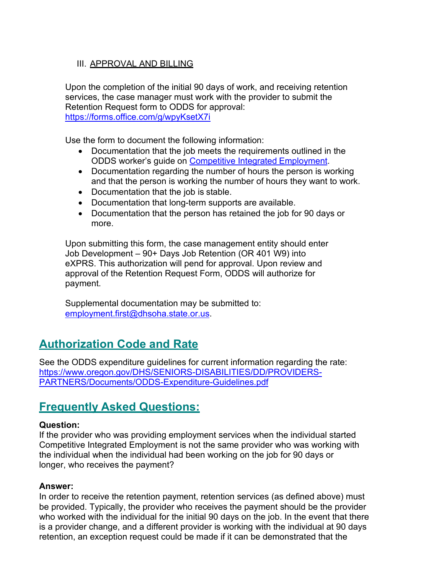#### III. APPROVAL AND BILLING

Upon the completion of the initial 90 days of work, and receiving retention services, the case manager must work with the provider to submit the Retention Request form to ODDS for approval: <https://forms.office.com/g/wpyKsetX7i>

Use the form to document the following information:

- Documentation that the job meets the requirements outlined in the ODDS worker's guide on [Competitive Integrated](https://www.oregon.gov/DHS/SENIORS-DISABILITIES/DD/Documents/Worker-Guide-Competitive-Integrated-Employment-Requirements.pdf) Employment.
- Documentation regarding the number of hours the person is working and that the person is working the number of hours they want to work.
- Documentation that the job is stable.
- Documentation that long-term supports are available.
- Documentation that the person has retained the job for 90 days or more.

Upon submitting this form, the case management entity should enter Job Development – 90+ Days Job Retention (OR 401 W9) into eXPRS. This authorization will pend for approval. Upon review and approval of the Retention Request Form, ODDS will authorize for payment.

Supplemental documentation may be submitted to: [employment.first@dhsoha.state.or.us.](mailto:employment.first@dhsoha.state.or.us)

## **Authorization Code and Rate**

See the ODDS expenditure guidelines for current information regarding the rate: [https://www.oregon.gov/DHS/SENIORS-DISABILITIES/DD/PROVIDERS-](https://www.oregon.gov/DHS/SENIORS-DISABILITIES/DD/PROVIDERS-PARTNERS/Documents/ODDS-Expenditure-Guidelines.pdf)[PARTNERS/Documents/ODDS-Expenditure-Guidelines.pdf](https://www.oregon.gov/DHS/SENIORS-DISABILITIES/DD/PROVIDERS-PARTNERS/Documents/ODDS-Expenditure-Guidelines.pdf)

## **Frequently Asked Questions:**

#### **Question:**

If the provider who was providing employment services when the individual started Competitive Integrated Employment is not the same provider who was working with the individual when the individual had been working on the job for 90 days or longer, who receives the payment?

#### **Answer:**

In order to receive the retention payment, retention services (as defined above) must be provided. Typically, the provider who receives the payment should be the provider who worked with the individual for the initial 90 days on the job. In the event that there is a provider change, and a different provider is working with the individual at 90 days retention, an exception request could be made if it can be demonstrated that the